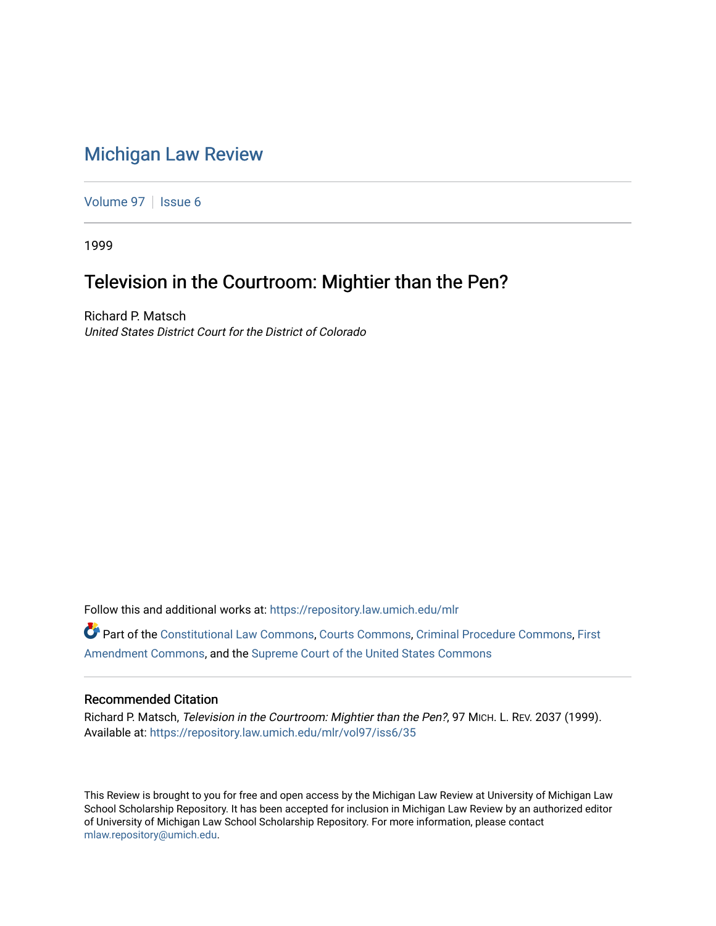## [Michigan Law Review](https://repository.law.umich.edu/mlr)

[Volume 97](https://repository.law.umich.edu/mlr/vol97) | [Issue 6](https://repository.law.umich.edu/mlr/vol97/iss6)

1999

# Television in the Courtroom: Mightier than the Pen?

Richard P. Matsch United States District Court for the District of Colorado

Follow this and additional works at: [https://repository.law.umich.edu/mlr](https://repository.law.umich.edu/mlr?utm_source=repository.law.umich.edu%2Fmlr%2Fvol97%2Fiss6%2F35&utm_medium=PDF&utm_campaign=PDFCoverPages) 

Part of the [Constitutional Law Commons,](http://network.bepress.com/hgg/discipline/589?utm_source=repository.law.umich.edu%2Fmlr%2Fvol97%2Fiss6%2F35&utm_medium=PDF&utm_campaign=PDFCoverPages) [Courts Commons,](http://network.bepress.com/hgg/discipline/839?utm_source=repository.law.umich.edu%2Fmlr%2Fvol97%2Fiss6%2F35&utm_medium=PDF&utm_campaign=PDFCoverPages) [Criminal Procedure Commons,](http://network.bepress.com/hgg/discipline/1073?utm_source=repository.law.umich.edu%2Fmlr%2Fvol97%2Fiss6%2F35&utm_medium=PDF&utm_campaign=PDFCoverPages) First [Amendment Commons](http://network.bepress.com/hgg/discipline/1115?utm_source=repository.law.umich.edu%2Fmlr%2Fvol97%2Fiss6%2F35&utm_medium=PDF&utm_campaign=PDFCoverPages), and the [Supreme Court of the United States Commons](http://network.bepress.com/hgg/discipline/1350?utm_source=repository.law.umich.edu%2Fmlr%2Fvol97%2Fiss6%2F35&utm_medium=PDF&utm_campaign=PDFCoverPages) 

#### Recommended Citation

Richard P. Matsch, Television in the Courtroom: Mightier than the Pen?, 97 MICH. L. REV. 2037 (1999). Available at: [https://repository.law.umich.edu/mlr/vol97/iss6/35](https://repository.law.umich.edu/mlr/vol97/iss6/35?utm_source=repository.law.umich.edu%2Fmlr%2Fvol97%2Fiss6%2F35&utm_medium=PDF&utm_campaign=PDFCoverPages) 

This Review is brought to you for free and open access by the Michigan Law Review at University of Michigan Law School Scholarship Repository. It has been accepted for inclusion in Michigan Law Review by an authorized editor of University of Michigan Law School Scholarship Repository. For more information, please contact [mlaw.repository@umich.edu.](mailto:mlaw.repository@umich.edu)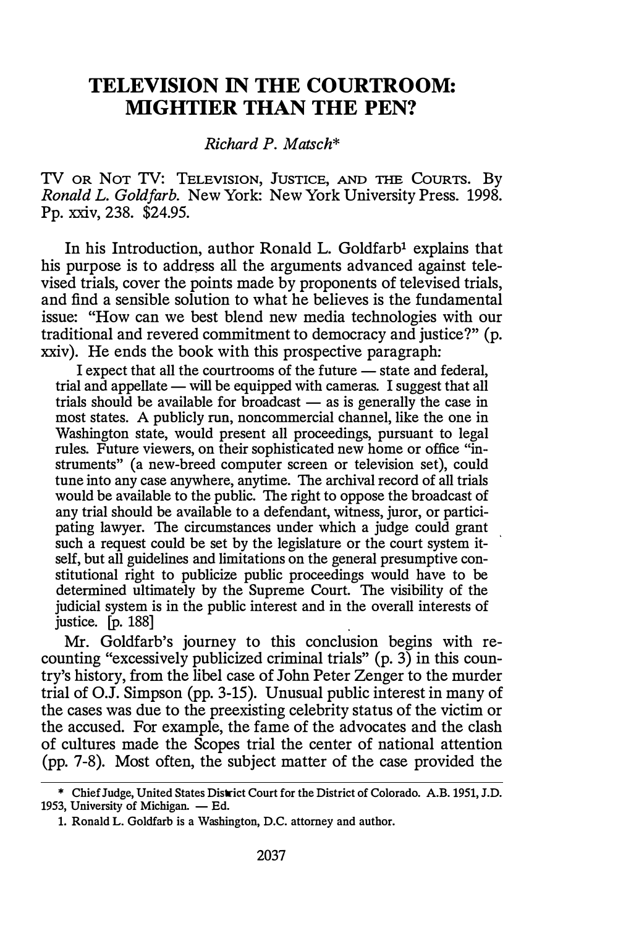### TELEVISION IN THE COURTROOM: MIGHTIER THAN THE PEN?

#### Richard P. Matsch\*

TV OR NoT TV: TELEVISION, JusTICE, AND THE CouRTS. By Ronald L. Goldfarb. New York: New York University Press. 1998. Pp. xxiv, 238. \$24.95.

In his Introduction, author Ronald L. Goldfarb<sup>1</sup> explains that his purpose is to address all the arguments advanced against televised trials, cover the points made by proponents of televised trials, and find a sensible solution to what he believes is the fundamental issue: "How can we best blend new media technologies with our traditional and revered commitment to democracy and justice?" (p. xxiv). He ends the book with this prospective paragraph:

I expect that all the courtrooms of the future — state and federal, trial and appellate — will be equipped with cameras. I suggest that all trials should be available for broadcast  $-$  as is generally the case in most states. A publicly run, noncommercial channel, like the one in Washington state, would present all proceedings, pursuant to legal rules. Future viewers, on their sophisticated new home or office "instruments" (a new-breed computer screen or television set), could tune into any case anywhere, anytime. The archival record of all trials would be available to the public. The right to oppose the broadcast of any trial should be available to a defendant, witness, juror, or participating lawyer. The circumstances under which a judge could grant such a request could be set by the legislature or the court system itself, but all guidelines and limitations on the general presumptive constitutional right to publicize public proceedings would have to be determined ultimately by the Supreme Court. The visibility of the judicial system is in the public interest and in the overall interests of justice. [p. 188]

Mr. Goldfarb's journey to this conclusion begins with recounting "excessively publicized criminal trials" (p. 3) in this country's history, from the libel case of John Peter Zenger to the murder trial of O.J. Simpson (pp. 3-15). Unusual public interest in many of the cases was due to the preexisting celebrity status of the victim or the accused. For example, the fame of the advocates and the clash of cultures made the Scopes trial the center of national attention (pp. 7-8). Most often, the subject matter of the case provided the

<sup>\*</sup> Chief Judge, United States District Court for the District of Colorado. A.B. 1951, J.D. 1953, University of Michigan. - Ed.

<sup>1.</sup> Ronald L. Goldfarb is a Washington, D.C. attorney and author.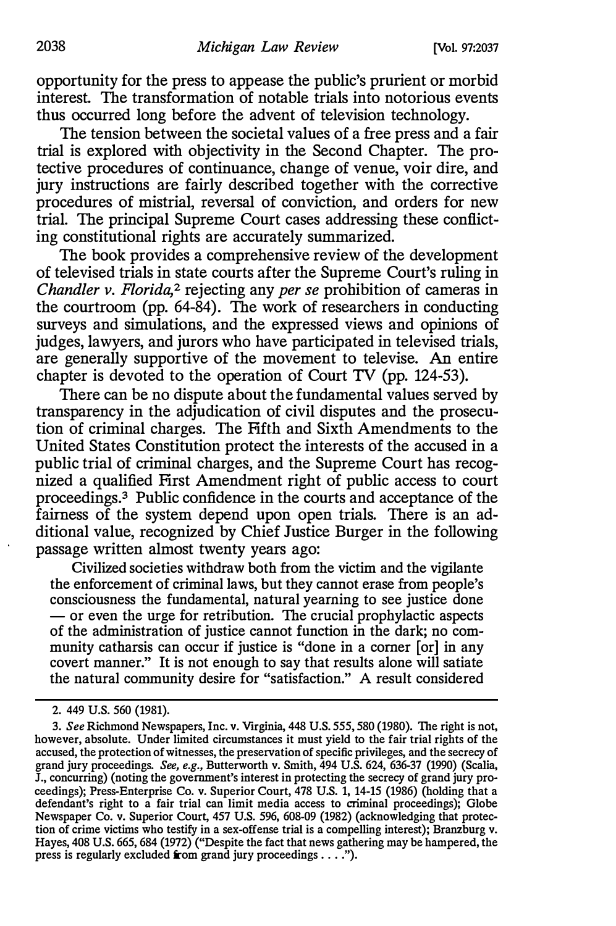opportunity for the press to appease the public's prurient or morbid interest. The transformation of notable trials into notorious events thus occurred long before the advent of television technology.

The tension between the societal values of a free press and a fair trial is explored with objectivity in the Second Chapter. The protective procedures of continuance, change of venue, voir dire, and jury instructions are fairly described together with the corrective procedures of mistrial, reversal of conviction, and orders for new trial. The principal Supreme Court cases addressing these conflicting constitutional rights are accurately summarized.

The book provides a comprehensive review of the development of televised trials in state courts after the Supreme Court's ruling in Chandler v. Florida,<sup>2</sup> rejecting any per se prohibition of cameras in the courtroom (pp. 64-84). The work of researchers in conducting surveys and simulations, and the expressed views and opinions of judges, lawyers, and jurors who have participated in televised trials, are generally supportive of the movement to televise. An entire chapter is devoted to the operation of Court TV (pp. 124-53).

There can be no dispute about the fundamental values served by transparency in the adjudication of civil disputes and the prosecution of criminal charges. The Fifth and Sixth Amendments to the United States Constitution protect the interests of the accused in a public trial of criminal charges, and the Supreme Court has recognized a qualified First Amendment right of public access to court proceedings.3 Public confidence in the courts and acceptance of the fairness of the system depend upon open trials. There is an additional value, recognized by Chief Justice Burger in the following passage written almost twenty years ago:

Civilized societies withdraw both from the victim and the vigilante the enforcement of criminal laws, but they cannot erase from people's consciousness the fundamental, natural yearning to see justice done - or even the urge for retribution. The crucial prophylactic aspects of the administration of justice cannot function in the dark; no community catharsis can occur if justice is "done in a corner [or] in any covert manner." It is not enough to say that results alone will satiate the natural community desire for "satisfaction." A result considered

<sup>2. 449</sup> U.S. 560 (1981).

<sup>3.</sup> See Richmond Newspapers, Inc. v. Virginia, 448 U.S. 555, 580 (1980). The right is not, however, absolute. Under limited circumstances it must yield to the fair trial rights of the accused, the protection of witnesses, the preservation of specific privileges, and the secrecy of grand jury proceedings. See, e.g., Butterworth v. Smith, 494 U.S. 624, 636-37 (1990) (Scalia, J., concurring) (noting the government's interest in protecting the secrecy of grand jury proceedings); Press-Enterprise Co. v. Superior Court, 478 U.S. 1, 14-15 (1986) (holding that a defendant's right to a fair trial can limit media access to criminal proceedings); Globe Newspaper Co. v. Superior Court, 457 U.S. 596, 608-09 (1982) (acknowledging that protection of crime victims who testify in a sex-offense trial is a compelling interest); Branzburg v. Hayes, 408 U.S. 665, 684 (1972) ("Despite the fact that news gathering may be hampered, the press is regularly excluded from grand jury proceedings .... ").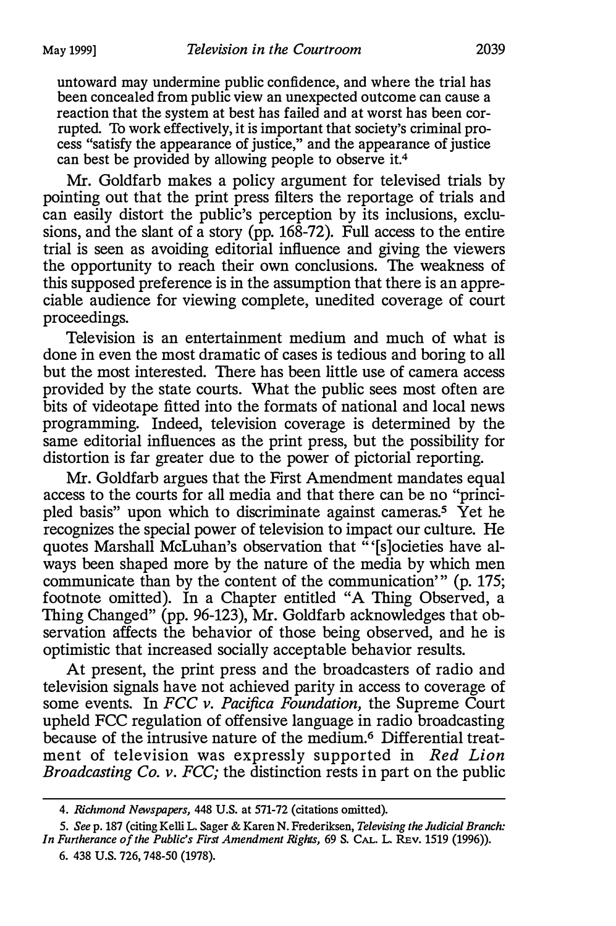untoward may undermine public confidence, and where the trial has been concealed from public view an unexpected outcome can cause a reaction that the system at best has failed and at worst has been corrupted. To work effectively, it is important that society's criminal process "satisfy the appearance of justice," and the appearance of justice can best be provided by allowing people to observe it.4

Mr. Goldfarb makes a policy argument for televised trials by pointing out that the print press filters the reportage of trials and can easily distort the public's perception by its inclusions, exclusions, and the slant of a story (pp.  $16\overline{8}$ -72). Full access to the entire trial is seen as avoiding editorial influence and giving the viewers the opportunity to reach their own conclusions. The weakness of this supposed preference is in the assumption that there is an appreciable audience for viewing complete, unedited coverage of court proceedings.

Television is an entertainment medium and much of what is done in even the most dramatic of cases is tedious and boring to all but the most interested. There has been little use of camera access provided by the state courts. What the public sees most often are bits of videotape fitted into the formats of national and local news programming. Indeed, television coverage is determined by the same editorial influences as the print press, but the possibility for distortion is far greater due to the power of pictorial reporting.

Mr. Goldfarb argues that the First Amendment mandates equal access to the courts for all media and that there can be no "principled basis" upon which to discriminate against cameras.<sup>5</sup> Yet he recognizes the special power of television to impact our culture. He quotes Marshall McLuhan's observation that "'[s]ocieties have always been shaped more by the nature of the media by which men communicate than by the content of the communication'" (p. 175; footnote omitted). In a Chapter entitled "A Thing Observed, a Thing Changed" (pp. 96-123), Mr. Goldfarb acknowledges that observation affects the behavior of those being observed, and he is optimistic that increased socially acceptable behavior results.

At present, the print press and the broadcasters of radio and television signals have not achieved parity in access to coverage of some events. In  $FCC$  v. Pacifica Foundation, the Supreme Court upheld FCC regulation of offensive language in radio broadcasting because of the intrusive nature of the medium.6 Differential treatment of television was expressly supported in Red Lion Broadcasting Co. v. FCC; the distinction rests in part on the public

6. 438 U.S. 726, 748-50 (1978).

<sup>4.</sup> Richmond Newspapers, 448 U.S. at 571-72 (citations omitted).

<sup>5.</sup> See p. 187 (citing Kelli L. Sager & Karen N. Frederiksen, Televising the Judicial Branch: In Furtherance of the Public's First Amendment Rights, 69 S. CAL. L. REv. 1519 (1996)).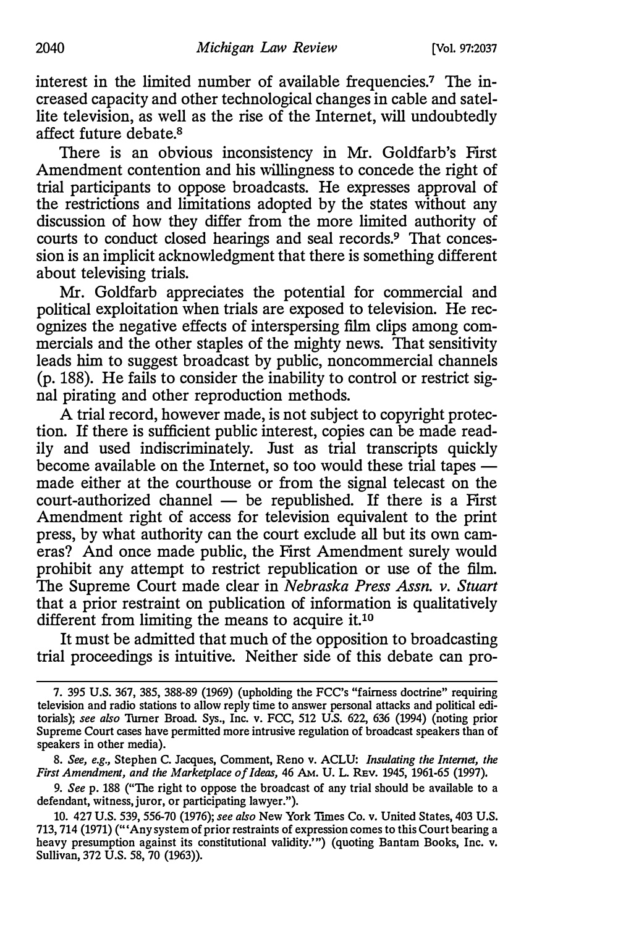interest in the limited number of available frequencies.7 The increased capacity and other technological changes in cable and satellite television, as well as the rise of the Internet, will undoubtedly affect future debate.8

There is an obvious inconsistency in Mr. Goldfarb's First Amendment contention and his willingness to concede the right of trial participants to oppose broadcasts. He expresses approval of the restrictions and limitations adopted by the states without any discussion of how they differ from the more limited authority of courts to conduct closed hearings and seal records.9 That concession is an implicit acknowledgment that there is something different about televising trials.

Mr. Goldfarb appreciates the potential for commercial and political exploitation when trials are exposed to television. He recognizes the negative effects of interspersing film clips among commercials and the other staples of the mighty news. That sensitivity leads him to suggest broadcast by public, noncommercial channels (p. 188). He fails to consider the inability to control or restrict signal pirating and other reproduction methods.

A trial record, however made, is not subject to copyright protection. If there is sufficient public interest, copies can be made readily and used indiscriminately. Just as trial transcripts quickly become available on the Internet, so too would these trial tapes  $-\frac{1}{2}$ made either at the courthouse or from the signal telecast on the  $court-authorized channel$   $-$  be republished. If there is a First Amendment right of access for television equivalent to the print press, by what authority can the court exclude all but its own cameras? And once made public, the First Amendment surely would prohibit any attempt to restrict republication or use of the film. The Supreme Court made clear in Nebraska Press Assn. v. Stuart that a prior restraint on publication of information is qualitatively different from limiting the means to acquire it.<sup>10</sup>

It must be admitted that much of the opposition to broadcasting trial proceedings is intuitive. Neither side of this debate can pro-

<sup>7. 395</sup> U.S. 367, 385, 388-89 (1969) (upholding the FCC's "fairness doctrine" requiring television and radio stations to allow reply time to answer personal attacks and political editorials); see also Turner Broad. Sys., Inc. v. FCC, 512 U.S. 622, 636 (1994) (noting prior Supreme Court cases have permitted more intrusive regulation of broadcast speakers than of speakers in other media).

<sup>8.</sup> See, e.g., Stephen C. Jacques, Comment, Reno v. ACLU: Insulating the Internet, the First Amendment, and the Marketplace of Ideas, 46 AM. U. L. REv. 1945, 1961-65 (1997).

<sup>9.</sup> See p. 188 ("The right to oppose the broadcast of any trial should be available to a defendant, witness, juror, or participating lawyer.").

<sup>10. 427</sup> U.S. 539, 556-70 (1976); see also New York Tnnes Co. v. United States, 403 U.S. 713, 714 (1971) ('"Any system of prior restraints of expression comes to this Court bearing a heavy presumption against its constitutional validity."') (quoting Bantam Books, Inc. v. Sullivan, 372 U.S. 58, 70 (1963)).